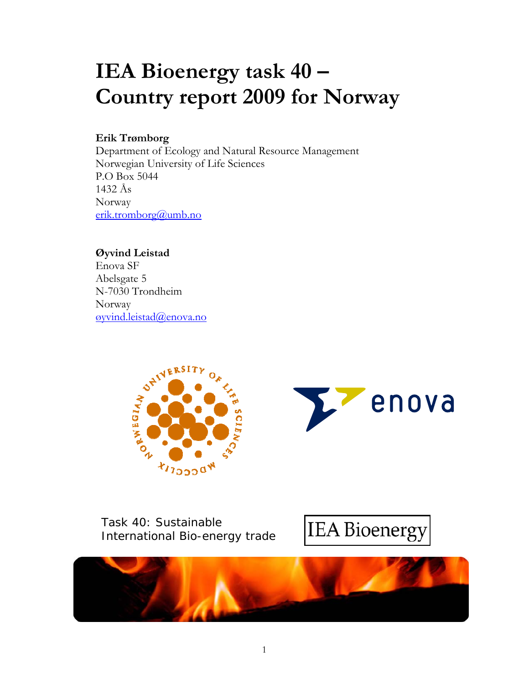# **IEA Bioenergy task 40 – Country report 2009 for Norway**

## **Erik Trømborg**

Department of Ecology and Natural Resource Management Norwegian University of Life Sciences P.O Box 5044 1432 Ås Norway erik.tromborg@umb.no

**Øyvind Leistad**  Enova SF Abelsgate 5 N-7030 Trondheim Norway øyvind.leistad@enova.no





Task 40: Sustainable International Bio-energy trade



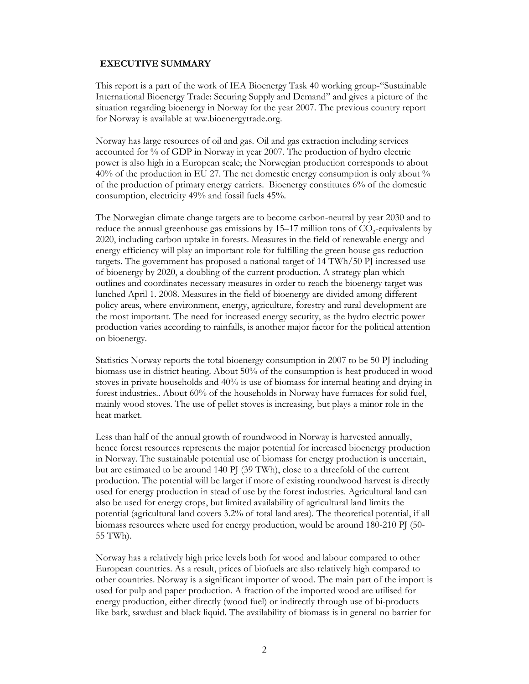#### **EXECUTIVE SUMMARY**

This report is a part of the work of IEA Bioenergy Task 40 working group-"Sustainable International Bioenergy Trade: Securing Supply and Demand" and gives a picture of the situation regarding bioenergy in Norway for the year 2007. The previous country report for Norway is available at ww.bioenergytrade.org.

Norway has large resources of oil and gas. Oil and gas extraction including services accounted for % of GDP in Norway in year 2007. The production of hydro electric power is also high in a European scale; the Norwegian production corresponds to about 40% of the production in EU 27. The net domestic energy consumption is only about % of the production of primary energy carriers. Bioenergy constitutes 6% of the domestic consumption, electricity 49% and fossil fuels 45%.

The Norwegian climate change targets are to become carbon-neutral by year 2030 and to reduce the annual greenhouse gas emissions by  $15-17$  million tons of  $CO<sub>2</sub>$ -equivalents by 2020, including carbon uptake in forests. Measures in the field of renewable energy and energy efficiency will play an important role for fulfilling the green house gas reduction targets. The government has proposed a national target of 14 TWh/50 PJ increased use of bioenergy by 2020, a doubling of the current production. A strategy plan which outlines and coordinates necessary measures in order to reach the bioenergy target was lunched April 1. 2008. Measures in the field of bioenergy are divided among different policy areas, where environment, energy, agriculture, forestry and rural development are the most important. The need for increased energy security, as the hydro electric power production varies according to rainfalls, is another major factor for the political attention on bioenergy.

Statistics Norway reports the total bioenergy consumption in 2007 to be 50 PJ including biomass use in district heating. About 50% of the consumption is heat produced in wood stoves in private households and 40% is use of biomass for internal heating and drying in forest industries.. About 60% of the households in Norway have furnaces for solid fuel, mainly wood stoves. The use of pellet stoves is increasing, but plays a minor role in the heat market.

Less than half of the annual growth of roundwood in Norway is harvested annually, hence forest resources represents the major potential for increased bioenergy production in Norway. The sustainable potential use of biomass for energy production is uncertain, but are estimated to be around 140 PJ (39 TWh), close to a threefold of the current production. The potential will be larger if more of existing roundwood harvest is directly used for energy production in stead of use by the forest industries. Agricultural land can also be used for energy crops, but limited availability of agricultural land limits the potential (agricultural land covers 3.2% of total land area). The theoretical potential, if all biomass resources where used for energy production, would be around 180-210 PJ (50- 55 TWh).

Norway has a relatively high price levels both for wood and labour compared to other European countries. As a result, prices of biofuels are also relatively high compared to other countries. Norway is a significant importer of wood. The main part of the import is used for pulp and paper production. A fraction of the imported wood are utilised for energy production, either directly (wood fuel) or indirectly through use of bi-products like bark, sawdust and black liquid. The availability of biomass is in general no barrier for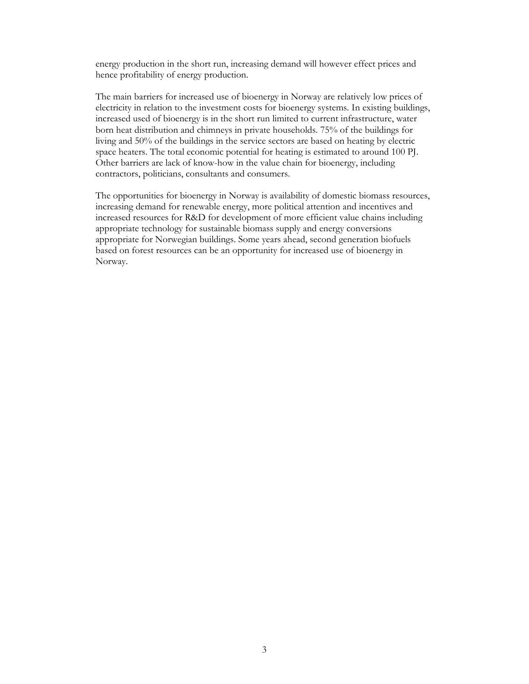energy production in the short run, increasing demand will however effect prices and hence profitability of energy production.

The main barriers for increased use of bioenergy in Norway are relatively low prices of electricity in relation to the investment costs for bioenergy systems. In existing buildings, increased used of bioenergy is in the short run limited to current infrastructure, water born heat distribution and chimneys in private households. 75% of the buildings for living and 50% of the buildings in the service sectors are based on heating by electric space heaters. The total economic potential for heating is estimated to around 100 PJ. Other barriers are lack of know-how in the value chain for bioenergy, including contractors, politicians, consultants and consumers.

The opportunities for bioenergy in Norway is availability of domestic biomass resources, increasing demand for renewable energy, more political attention and incentives and increased resources for R&D for development of more efficient value chains including appropriate technology for sustainable biomass supply and energy conversions appropriate for Norwegian buildings. Some years ahead, second generation biofuels based on forest resources can be an opportunity for increased use of bioenergy in Norway.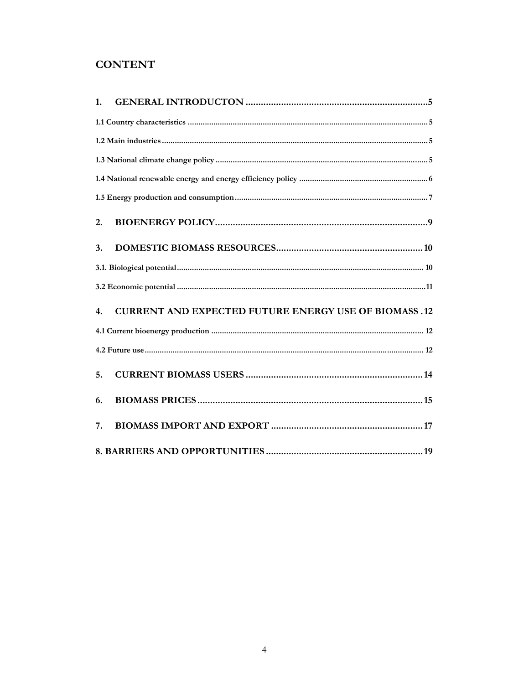## **CONTENT**

| 1.                                                                              |
|---------------------------------------------------------------------------------|
|                                                                                 |
|                                                                                 |
|                                                                                 |
|                                                                                 |
|                                                                                 |
| 2.                                                                              |
| 3.                                                                              |
|                                                                                 |
|                                                                                 |
| <b>CURRENT AND EXPECTED FUTURE ENERGY USE OF BIOMASS.12</b><br>$\overline{4}$ . |
|                                                                                 |
|                                                                                 |
| 5.                                                                              |
| 6.                                                                              |
| 7.                                                                              |
|                                                                                 |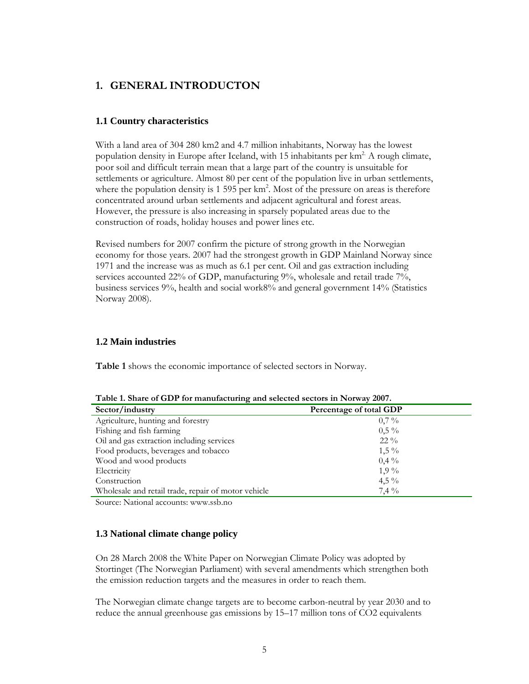## **1. GENERAL INTRODUCTON**

#### **1.1 Country characteristics**

With a land area of 304 280 km2 and 4.7 million inhabitants, Norway has the lowest population density in Europe after Iceland, with 15 inhabitants per  $km<sup>2</sup>$ . A rough climate, poor soil and difficult terrain mean that a large part of the country is unsuitable for settlements or agriculture. Almost 80 per cent of the population live in urban settlements, where the population density is 1 595 per km<sup>2</sup>. Most of the pressure on areas is therefore concentrated around urban settlements and adjacent agricultural and forest areas. However, the pressure is also increasing in sparsely populated areas due to the construction of roads, holiday houses and power lines etc.

Revised numbers for 2007 confirm the picture of strong growth in the Norwegian economy for those years. 2007 had the strongest growth in GDP Mainland Norway since 1971 and the increase was as much as 6.1 per cent. Oil and gas extraction including services accounted 22% of GDP, manufacturing 9%, wholesale and retail trade 7%, business services 9%, health and social work8% and general government 14% (Statistics Norway 2008).

#### **1.2 Main industries**

**Table 1** shows the economic importance of selected sectors in Norway.

| Table 1. Share of GDT for manufacturing and selected sectors in iNOTWay 2007. |                         |  |  |  |
|-------------------------------------------------------------------------------|-------------------------|--|--|--|
| Sector/industry                                                               | Percentage of total GDP |  |  |  |
| Agriculture, hunting and forestry                                             | $0,7\%$                 |  |  |  |
| Fishing and fish farming                                                      | $0.5\%$                 |  |  |  |
| Oil and gas extraction including services                                     | $22\%$                  |  |  |  |
| Food products, beverages and tobacco                                          | $1,5\%$                 |  |  |  |
| Wood and wood products                                                        | $0.4\%$                 |  |  |  |
| Electricity                                                                   | $1.9\%$                 |  |  |  |
| Construction                                                                  | $4,5\%$                 |  |  |  |
| Wholesale and retail trade, repair of motor vehicle                           | $7,4\%$                 |  |  |  |

Source: National accounts: www.ssb.no

#### **1.3 National climate change policy**

On 28 March 2008 the White Paper on Norwegian Climate Policy was adopted by Stortinget (The Norwegian Parliament) with several amendments which strengthen both the emission reduction targets and the measures in order to reach them.

The Norwegian climate change targets are to become carbon-neutral by year 2030 and to reduce the annual greenhouse gas emissions by 15–17 million tons of CO2 equivalents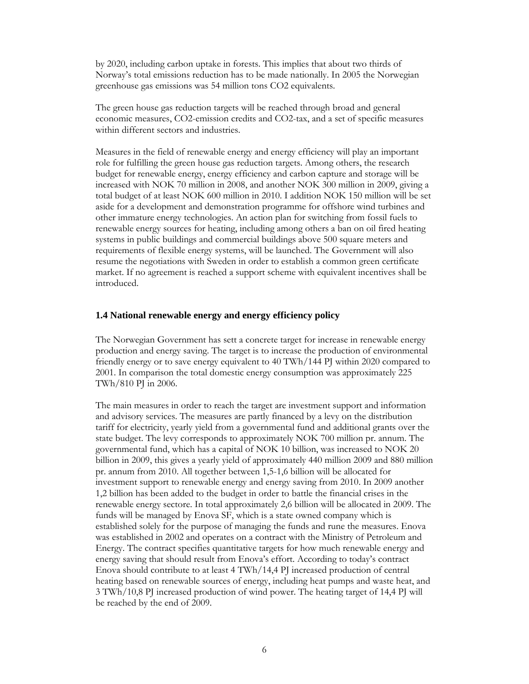by 2020, including carbon uptake in forests. This implies that about two thirds of Norway's total emissions reduction has to be made nationally. In 2005 the Norwegian greenhouse gas emissions was 54 million tons CO2 equivalents.

The green house gas reduction targets will be reached through broad and general economic measures, CO2-emission credits and CO2-tax, and a set of specific measures within different sectors and industries.

Measures in the field of renewable energy and energy efficiency will play an important role for fulfilling the green house gas reduction targets. Among others, the research budget for renewable energy, energy efficiency and carbon capture and storage will be increased with NOK 70 million in 2008, and another NOK 300 million in 2009, giving a total budget of at least NOK 600 million in 2010. I addition NOK 150 million will be set aside for a development and demonstration programme for offshore wind turbines and other immature energy technologies. An action plan for switching from fossil fuels to renewable energy sources for heating, including among others a ban on oil fired heating systems in public buildings and commercial buildings above 500 square meters and requirements of flexible energy systems, will be launched. The Government will also resume the negotiations with Sweden in order to establish a common green certificate market. If no agreement is reached a support scheme with equivalent incentives shall be introduced.

#### **1.4 National renewable energy and energy efficiency policy**

The Norwegian Government has sett a concrete target for increase in renewable energy production and energy saving. The target is to increase the production of environmental friendly energy or to save energy equivalent to 40 TWh/144 PJ within 2020 compared to 2001. In comparison the total domestic energy consumption was approximately 225 TWh/810 PJ in 2006.

The main measures in order to reach the target are investment support and information and advisory services. The measures are partly financed by a levy on the distribution tariff for electricity, yearly yield from a governmental fund and additional grants over the state budget. The levy corresponds to approximately NOK 700 million pr. annum. The governmental fund, which has a capital of NOK 10 billion, was increased to NOK 20 billion in 2009, this gives a yearly yield of approximately 440 million 2009 and 880 million pr. annum from 2010. All together between 1,5-1,6 billion will be allocated for investment support to renewable energy and energy saving from 2010. In 2009 another 1,2 billion has been added to the budget in order to battle the financial crises in the renewable energy sectore. In total approximately 2,6 billion will be allocated in 2009. The funds will be managed by Enova SF, which is a state owned company which is established solely for the purpose of managing the funds and rune the measures. Enova was established in 2002 and operates on a contract with the Ministry of Petroleum and Energy. The contract specifies quantitative targets for how much renewable energy and energy saving that should result from Enova's effort. According to today's contract Enova should contribute to at least 4 TWh/14,4 PJ increased production of central heating based on renewable sources of energy, including heat pumps and waste heat, and 3 TWh/10,8 PJ increased production of wind power. The heating target of 14,4 PJ will be reached by the end of 2009.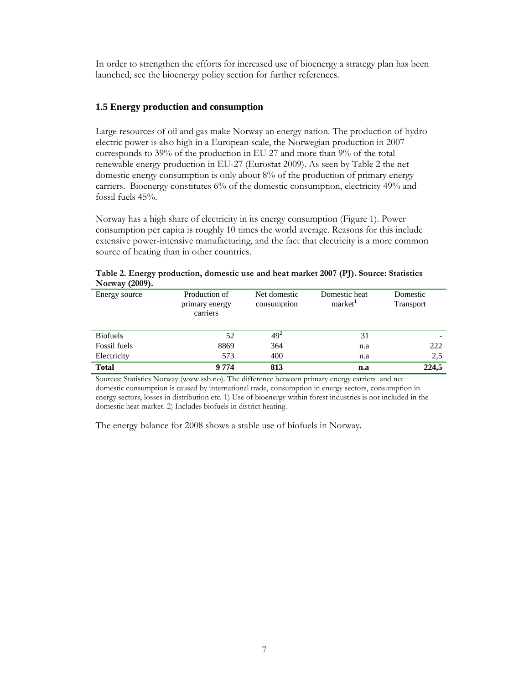In order to strengthen the efforts for increased use of bioenergy a strategy plan has been launched, see the bioenergy policy section for further references.

#### **1.5 Energy production and consumption**

Large resources of oil and gas make Norway an energy nation. The production of hydro electric power is also high in a European scale, the Norwegian production in 2007 corresponds to 39% of the production in EU 27 and more than 9% of the total renewable energy production in EU-27 (Eurostat 2009). As seen by Table 2 the net domestic energy consumption is only about 8% of the production of primary energy carriers. Bioenergy constitutes 6% of the domestic consumption, electricity 49% and fossil fuels 45%.

Norway has a high share of electricity in its energy consumption (Figure 1). Power consumption per capita is roughly 10 times the world average. Reasons for this include extensive power-intensive manufacturing, and the fact that electricity is a more common source of heating than in other countries.

| <b>NOTWAY</b> (2009). |                                             |                             |                                      |                              |
|-----------------------|---------------------------------------------|-----------------------------|--------------------------------------|------------------------------|
| Energy source         | Production of<br>primary energy<br>carriers | Net domestic<br>consumption | Domestic heat<br>market <sup>1</sup> | Domestic<br><b>Transport</b> |
| <b>Biofuels</b>       | 52                                          | $49^{2}$                    | 31                                   |                              |
| Fossil fuels          | 8869                                        | 364                         | n.a                                  | 222                          |
| Electricity           | 573                                         | 400                         | n.a                                  | 2,5                          |
| <b>Total</b>          | 9 7 7 4                                     | 813                         | n.a                                  | 224,5                        |

|                | Table 2. Energy production, domestic use and heat market 2007 (PJ). Source: Statistics |  |  |  |
|----------------|----------------------------------------------------------------------------------------|--|--|--|
| Norway (2009). |                                                                                        |  |  |  |

Sources: Statistics Norway (www.ssb.no). The difference between primary energy carriers and net domestic consumption is caused by international trade, consumption in energy sectors, consumption in energy sectors, losses in distribution etc. 1) Use of bioenergy within forest industries is not included in the domestic heat market. 2) Includes biofuels in district heating.

The energy balance for 2008 shows a stable use of biofuels in Norway.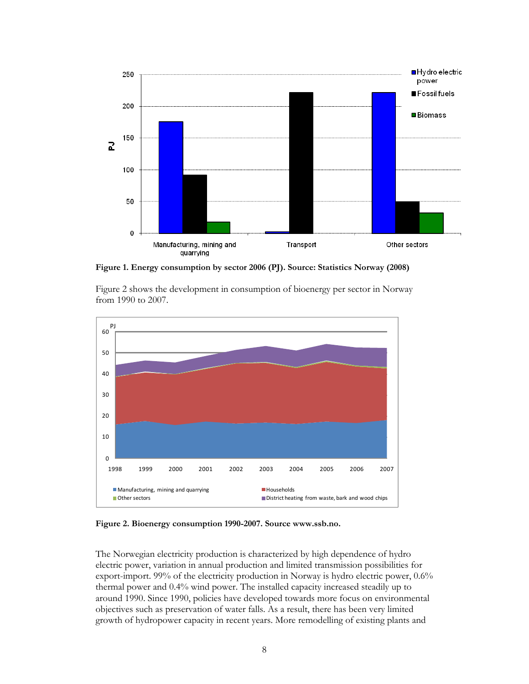

**Figure 1. Energy consumption by sector 2006 (PJ). Source: Statistics Norway (2008)** 

Figure 2 shows the development in consumption of bioenergy per sector in Norway from 1990 to 2007.



**Figure 2. Bioenergy consumption 1990-2007. Source www.ssb.no.** 

The Norwegian electricity production is characterized by high dependence of hydro electric power, variation in annual production and limited transmission possibilities for export-import. 99% of the electricity production in Norway is hydro electric power, 0.6% thermal power and 0.4% wind power. The installed capacity increased steadily up to around 1990. Since 1990, policies have developed towards more focus on environmental objectives such as preservation of water falls. As a result, there has been very limited growth of hydropower capacity in recent years. More remodelling of existing plants and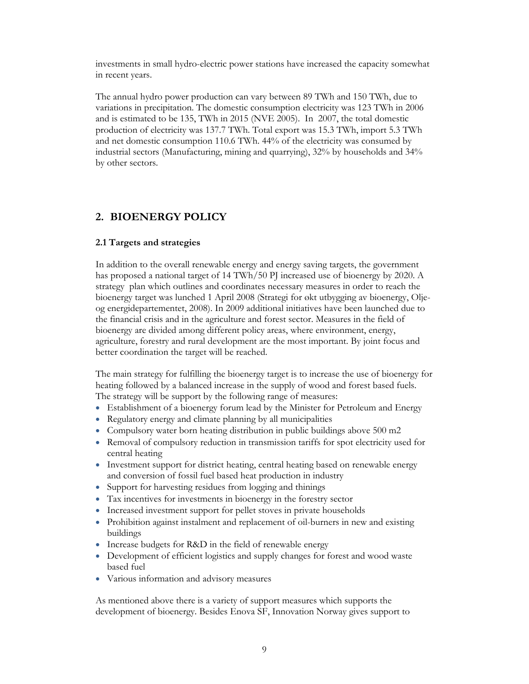investments in small hydro-electric power stations have increased the capacity somewhat in recent years.

The annual hydro power production can vary between 89 TWh and 150 TWh, due to variations in precipitation. The domestic consumption electricity was 123 TWh in 2006 and is estimated to be 135, TWh in 2015 (NVE 2005). In 2007, the total domestic production of electricity was 137.7 TWh. Total export was 15.3 TWh, import 5.3 TWh and net domestic consumption 110.6 TWh. 44% of the electricity was consumed by industrial sectors (Manufacturing, mining and quarrying), 32% by households and 34% by other sectors.

### **2. BIOENERGY POLICY**

#### **2.1 Targets and strategies**

In addition to the overall renewable energy and energy saving targets, the government has proposed a national target of 14 TWh/50 PJ increased use of bioenergy by 2020. A strategy plan which outlines and coordinates necessary measures in order to reach the bioenergy target was lunched 1 April 2008 (Strategi for økt utbygging av bioenergy, Oljeog energidepartementet, 2008). In 2009 additional initiatives have been launched due to the financial crisis and in the agriculture and forest sector. Measures in the field of bioenergy are divided among different policy areas, where environment, energy, agriculture, forestry and rural development are the most important. By joint focus and better coordination the target will be reached.

The main strategy for fulfilling the bioenergy target is to increase the use of bioenergy for heating followed by a balanced increase in the supply of wood and forest based fuels. The strategy will be support by the following range of measures:

- Establishment of a bioenergy forum lead by the Minister for Petroleum and Energy
- Regulatory energy and climate planning by all municipalities
- Compulsory water born heating distribution in public buildings above 500 m2
- Removal of compulsory reduction in transmission tariffs for spot electricity used for central heating
- Investment support for district heating, central heating based on renewable energy and conversion of fossil fuel based heat production in industry
- Support for harvesting residues from logging and thinings
- Tax incentives for investments in bioenergy in the forestry sector
- Increased investment support for pellet stoves in private households
- Prohibition against instalment and replacement of oil-burners in new and existing buildings
- Increase budgets for R&D in the field of renewable energy
- Development of efficient logistics and supply changes for forest and wood waste based fuel
- Various information and advisory measures

As mentioned above there is a variety of support measures which supports the development of bioenergy. Besides Enova SF, Innovation Norway gives support to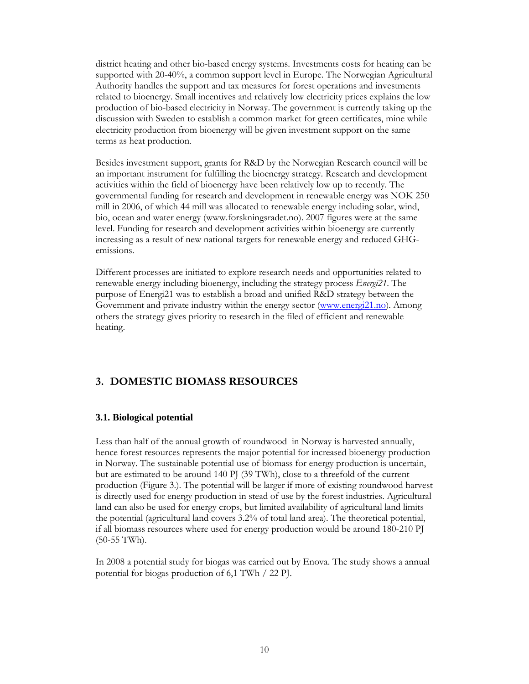district heating and other bio-based energy systems. Investments costs for heating can be supported with 20-40%, a common support level in Europe. The Norwegian Agricultural Authority handles the support and tax measures for forest operations and investments related to bioenergy. Small incentives and relatively low electricity prices explains the low production of bio-based electricity in Norway. The government is currently taking up the discussion with Sweden to establish a common market for green certificates, mine while electricity production from bioenergy will be given investment support on the same terms as heat production.

Besides investment support, grants for R&D by the Norwegian Research council will be an important instrument for fulfilling the bioenergy strategy. Research and development activities within the field of bioenergy have been relatively low up to recently. The governmental funding for research and development in renewable energy was NOK 250 mill in 2006, of which 44 mill was allocated to renewable energy including solar, wind, bio, ocean and water energy (www.forskningsradet.no). 2007 figures were at the same level. Funding for research and development activities within bioenergy are currently increasing as a result of new national targets for renewable energy and reduced GHGemissions.

Different processes are initiated to explore research needs and opportunities related to renewable energy including bioenergy, including the strategy process *Energi21*. The purpose of Energi21 was to establish a broad and unified R&D strategy between the Government and private industry within the energy sector (www.energi21.no). Among others the strategy gives priority to research in the filed of efficient and renewable heating.

## **3. DOMESTIC BIOMASS RESOURCES**

#### **3.1. Biological potential**

Less than half of the annual growth of roundwood in Norway is harvested annually, hence forest resources represents the major potential for increased bioenergy production in Norway. The sustainable potential use of biomass for energy production is uncertain, but are estimated to be around 140 PJ (39 TWh), close to a threefold of the current production (Figure 3.). The potential will be larger if more of existing roundwood harvest is directly used for energy production in stead of use by the forest industries. Agricultural land can also be used for energy crops, but limited availability of agricultural land limits the potential (agricultural land covers 3.2% of total land area). The theoretical potential, if all biomass resources where used for energy production would be around 180-210 PJ (50-55 TWh).

In 2008 a potential study for biogas was carried out by Enova. The study shows a annual potential for biogas production of 6,1 TWh / 22 PJ.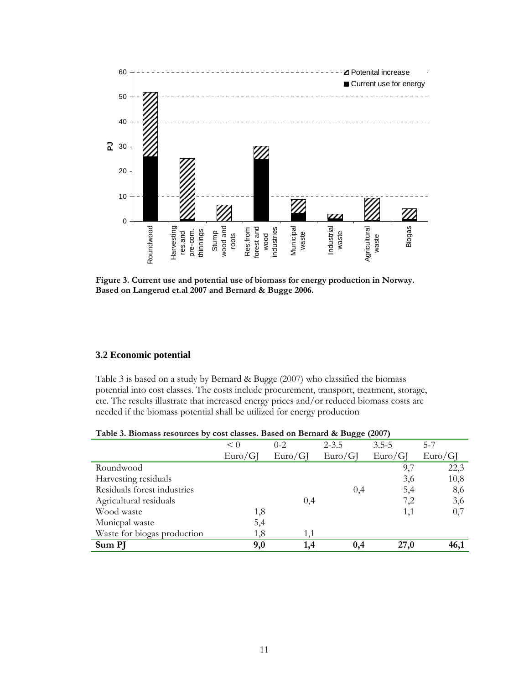

**Figure 3. Current use and potential use of biomass for energy production in Norway. Based on Langerud et.al 2007 and Bernard & Bugge 2006.** 

#### **3.2 Economic potential**

Table 3 is based on a study by Bernard & Bugge (2007) who classified the biomass potential into cost classes. The costs include procurement, transport, treatment, storage, etc. The results illustrate that increased energy prices and/or reduced biomass costs are needed if the biomass potential shall be utilized for energy production

| Table 3. Biomass resources by cost classes. Based on Bernard & Bugge (2007) |  |  |  |
|-----------------------------------------------------------------------------|--|--|--|
|                                                                             |  |  |  |

|                             | $\leq 0$ | $0 - 2$ | $2 - 3.5$ | $3.5 - 5$ | $5 - 7$ |
|-----------------------------|----------|---------|-----------|-----------|---------|
|                             | Euro/G   | Euro/GI | Euro/G    | Euro/G    | Euro/G  |
| Roundwood                   |          |         |           | 9,7       | 22,3    |
| Harvesting residuals        |          |         |           | 3,6       | 10,8    |
| Residuals forest industries |          |         | 0,4       | 5,4       | 8,6     |
| Agricultural residuals      |          | 0,4     |           | 7,2       | 3,6     |
| Wood waste                  | 1,8      |         |           | 1,1       | 0,7     |
| Municpal waste              | 5,4      |         |           |           |         |
| Waste for biogas production | 1,8      | 1,1     |           |           |         |
| Sum PJ                      | 9,0      | 1.4     | 0.4       | 27,0      | 46,1    |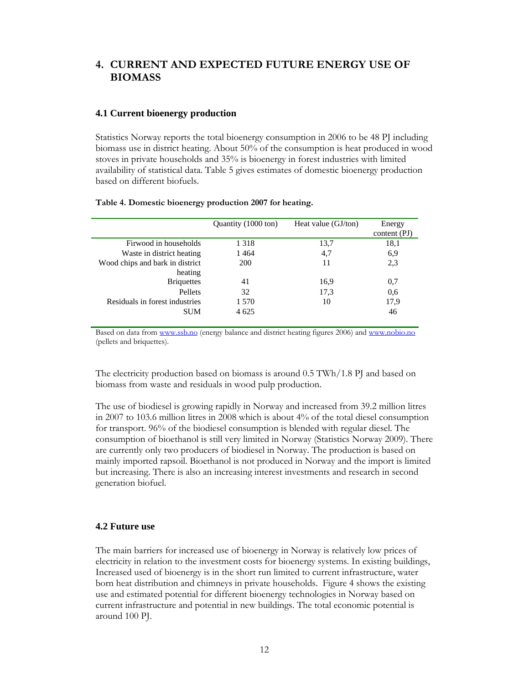## **4. CURRENT AND EXPECTED FUTURE ENERGY USE OF BIOMASS**

#### **4.1 Current bioenergy production**

Statistics Norway reports the total bioenergy consumption in 2006 to be 48 PJ including biomass use in district heating. About 50% of the consumption is heat produced in wood stoves in private households and 35% is bioenergy in forest industries with limited availability of statistical data. Table 5 gives estimates of domestic bioenergy production based on different biofuels.

| .                   |                   |
|---------------------|-------------------|
| Quantity (1000 ton) | Heat value (GJ/to |

**Table 4. Domestic bioenergy production 2007 for heating.** 

|                                 | Quantity (1000 ton) | Heat value (GJ/ton) | Energy         |
|---------------------------------|---------------------|---------------------|----------------|
|                                 |                     |                     | content $(PI)$ |
| Firwood in households           | 1 3 1 8             | 13,7                | 18,1           |
| Waste in district heating       | 1464                | 4,7                 | 6,9            |
| Wood chips and bark in district | <b>200</b>          | 11                  | 2,3            |
| heating                         |                     |                     |                |
| <b>Briquettes</b>               | 41                  | 16.9                | 0,7            |
| Pellets                         | 32                  | 17,3                | 0.6            |
| Residuals in forest industries  | 1 570               | 10                  | 17,9           |
| <b>SUM</b>                      | 4 6 25              |                     | 46             |
|                                 |                     |                     |                |

Based on data from www.ssb.no (energy balance and district heating figures 2006) and www.nobio.no (pellets and briquettes).

The electricity production based on biomass is around 0.5 TWh/1.8 PJ and based on biomass from waste and residuals in wood pulp production.

The use of biodiesel is growing rapidly in Norway and increased from 39.2 million litres in 2007 to 103.6 million litres in 2008 which is about 4% of the total diesel consumption for transport. 96% of the biodiesel consumption is blended with regular diesel. The consumption of bioethanol is still very limited in Norway (Statistics Norway 2009). There are currently only two producers of biodiesel in Norway. The production is based on mainly imported rapsoil. Bioethanol is not produced in Norway and the import is limited but increasing. There is also an increasing interest investments and research in second generation biofuel.

#### **4.2 Future use**

The main barriers for increased use of bioenergy in Norway is relatively low prices of electricity in relation to the investment costs for bioenergy systems. In existing buildings, Increased used of bioenergy is in the short run limited to current infrastructure, water born heat distribution and chimneys in private households. Figure 4 shows the existing use and estimated potential for different bioenergy technologies in Norway based on current infrastructure and potential in new buildings. The total economic potential is around 100 PJ.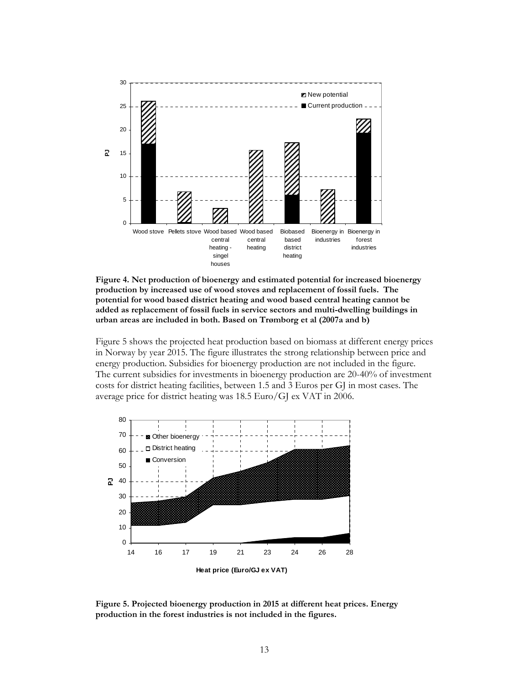

**Figure 4. Net production of bioenergy and estimated potential for increased bioenergy production by increased use of wood stoves and replacement of fossil fuels. The potential for wood based district heating and wood based central heating cannot be added as replacement of fossil fuels in service sectors and multi-dwelling buildings in urban areas are included in both. Based on Trømborg et al (2007a and b)** 

Figure 5 shows the projected heat production based on biomass at different energy prices in Norway by year 2015. The figure illustrates the strong relationship between price and energy production. Subsidies for bioenergy production are not included in the figure. The current subsidies for investments in bioenergy production are 20-40% of investment costs for district heating facilities, between 1.5 and 3 Euros per GJ in most cases. The average price for district heating was 18.5 Euro/GJ ex VAT in 2006.



**Figure 5. Projected bioenergy production in 2015 at different heat prices. Energy production in the forest industries is not included in the figures.**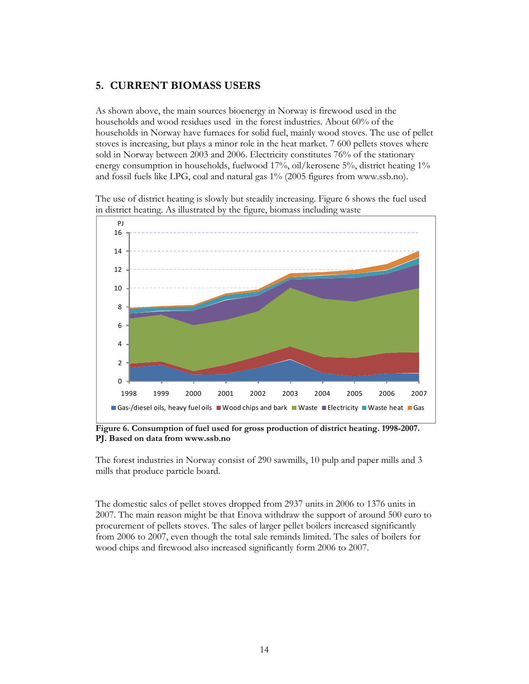## **5. CURRENT BIOMASS USERS**

As shown above, the main sources bioenergy in Norway is firewood used in the households and wood residues used in the forest industries. About 60% of the households in Norway have furnaces for solid fuel, mainly wood stoves. The use of pellet stoves is increasing, but plays a minor role in the heat market. 7 600 pellets stoves where sold in Norway between 2003 and 2006. Electricity constitutes 76% of the stationary energy consumption in households, fuelwood 17%, oil/kerosene 5%, district heating 1% and fossil fuels like LPG, coal and natural gas 1% (2005 figures from www.ssb.no).

The use of district heating is slowly but steadily increasing. Figure 6 shows the fuel used in district heating. As illustrated by the figure, biomass including waste



**Figure 6. Consumption of fuel used for gross production of district heating. 1998-2007. PJ. Based on data from www.ssb.no** 

The forest industries in Norway consist of 290 sawmills, 10 pulp and paper mills and 3 mills that produce particle board.

The domestic sales of pellet stoves dropped from 2937 units in 2006 to 1376 units in 2007. The main reason might be that Enova withdraw the support of around 500 euro to procurement of pellets stoves. The sales of larger pellet boilers increased significantly from 2006 to 2007, even though the total sale reminds limited. The sales of boilers for wood chips and firewood also increased significantly form 2006 to 2007.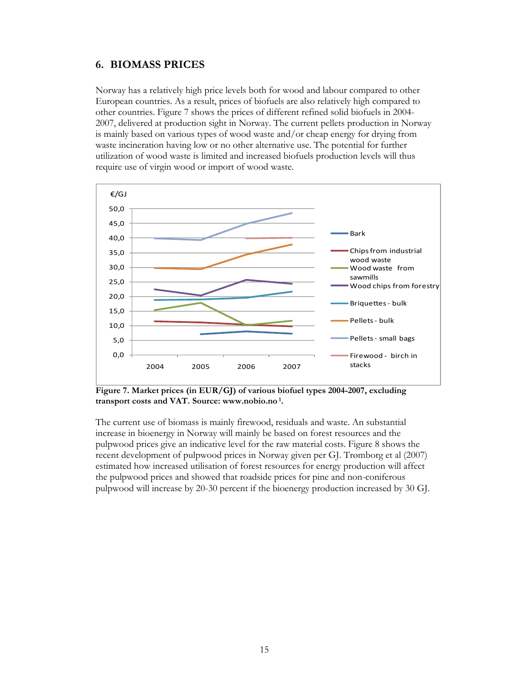## **6. BIOMASS PRICES**

Norway has a relatively high price levels both for wood and labour compared to other European countries. As a result, prices of biofuels are also relatively high compared to other countries. Figure 7 shows the prices of different refined solid biofuels in 2004- 2007, delivered at production sight in Norway. The current pellets production in Norway is mainly based on various types of wood waste and/or cheap energy for drying from waste incineration having low or no other alternative use. The potential for further utilization of wood waste is limited and increased biofuels production levels will thus require use of virgin wood or import of wood waste.



**Figure 7. Market prices (in EUR/GJ) of various biofuel types 2004-2007, excluding transport costs and VAT. Source: www.nobio.no 1.** 

The current use of biomass is mainly firewood, residuals and waste. An substantial increase in bioenergy in Norway will mainly be based on forest resources and the pulpwood prices give an indicative level for the raw material costs. Figure 8 shows the recent development of pulpwood prices in Norway given per GJ. Trømborg et al (2007) estimated how increased utilisation of forest resources for energy production will affect the pulpwood prices and showed that roadside prices for pine and non-coniferous pulpwood will increase by 20-30 percent if the bioenergy production increased by 30 GJ.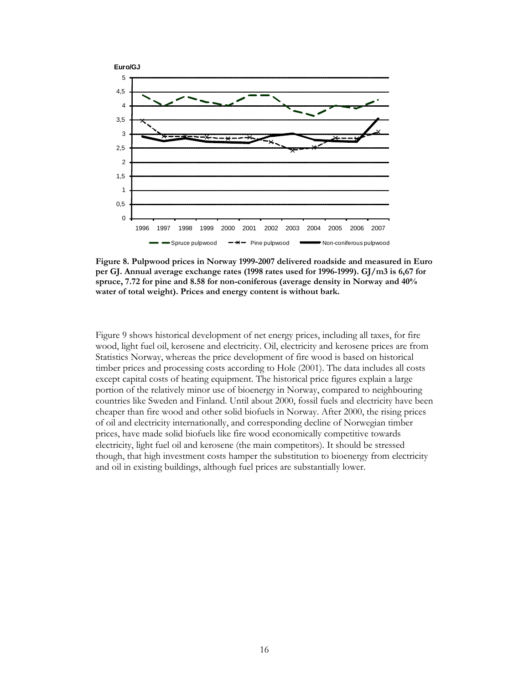

**Figure 8. Pulpwood prices in Norway 1999-2007 delivered roadside and measured in Euro per GJ. Annual average exchange rates (1998 rates used for 1996-1999). GJ/m3 is 6,67 for spruce, 7.72 for pine and 8.58 for non-coniferous (average density in Norway and 40% water of total weight). Prices and energy content is without bark.** 

Figure 9 shows historical development of net energy prices, including all taxes, for fire wood, light fuel oil, kerosene and electricity. Oil, electricity and kerosene prices are from Statistics Norway, whereas the price development of fire wood is based on historical timber prices and processing costs according to Hole (2001). The data includes all costs except capital costs of heating equipment. The historical price figures explain a large portion of the relatively minor use of bioenergy in Norway, compared to neighbouring countries like Sweden and Finland. Until about 2000, fossil fuels and electricity have been cheaper than fire wood and other solid biofuels in Norway. After 2000, the rising prices of oil and electricity internationally, and corresponding decline of Norwegian timber prices, have made solid biofuels like fire wood economically competitive towards electricity, light fuel oil and kerosene (the main competitors). It should be stressed though, that high investment costs hamper the substitution to bioenergy from electricity and oil in existing buildings, although fuel prices are substantially lower.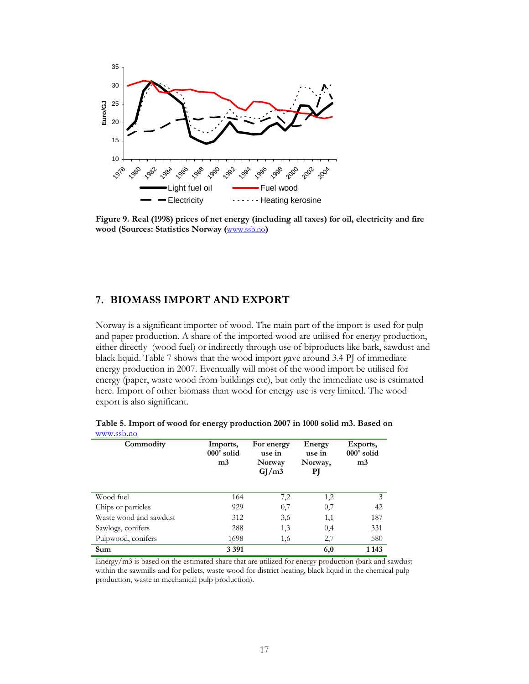

**Figure 9. Real (1998) prices of net energy (including all taxes) for oil, electricity and fire wood (Sources: Statistics Norway (**www.ssb.no**)** 

## **7. BIOMASS IMPORT AND EXPORT**

Norway is a significant importer of wood. The main part of the import is used for pulp and paper production. A share of the imported wood are utilised for energy production, either directly (wood fuel) or indirectly through use of biproducts like bark, sawdust and black liquid. Table 7 shows that the wood import gave around 3.4 PJ of immediate energy production in 2007. Eventually will most of the wood import be utilised for energy (paper, waste wood from buildings etc), but only the immediate use is estimated here. Import of other biomass than wood for energy use is very limited. The wood export is also significant.

| Commodity              | Imports,<br>000' solid<br>m <sub>3</sub> | For energy<br>use in<br>Norway<br>GI/m3 | Energy<br>use in<br>Norway,<br>РJ | Exports,<br>000' solid<br>m <sub>3</sub> |
|------------------------|------------------------------------------|-----------------------------------------|-----------------------------------|------------------------------------------|
| Wood fuel              | 164                                      | 7,2                                     | 1,2                               | 3                                        |
| Chips or particles     | 929                                      | 0,7                                     | 0,7                               | 42                                       |
| Waste wood and sawdust | 312                                      | 3,6                                     | 1,1                               | 187                                      |
| Sawlogs, conifers      | 288                                      | 1,3                                     | 0,4                               | 331                                      |
| Pulpwood, conifers     | 1698                                     | 1,6                                     | 2,7                               | 580                                      |
| Sum                    | 3 3 9 1                                  |                                         | 6,0                               | 1 1 4 3                                  |

**Table 5. Import of wood for energy production 2007 in 1000 solid m3. Based on**  www.ssb.no

Energy/m3 is based on the estimated share that are utilized for energy production (bark and sawdust within the sawmills and for pellets, waste wood for district heating, black liquid in the chemical pulp production, waste in mechanical pulp production).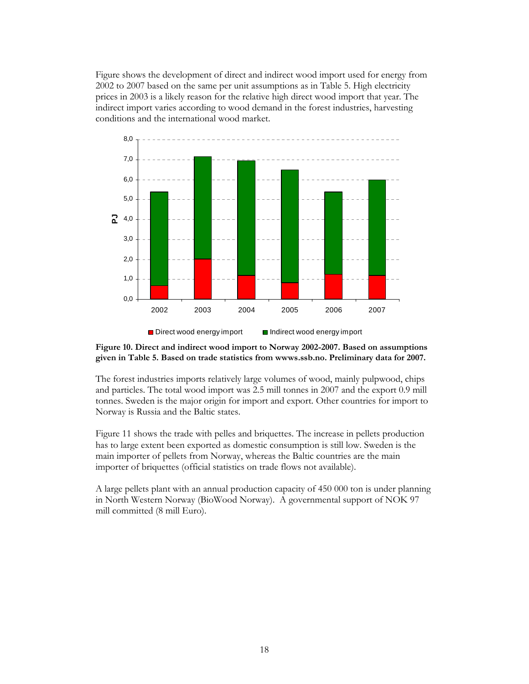Figure shows the development of direct and indirect wood import used for energy from 2002 to 2007 based on the same per unit assumptions as in Table 5. High electricity prices in 2003 is a likely reason for the relative high direct wood import that year. The indirect import varies according to wood demand in the forest industries, harvesting conditions and the international wood market.



#### **Figure 10. Direct and indirect wood import to Norway 2002-2007. Based on assumptions given in Table 5. Based on trade statistics from wwws.ssb.no. Preliminary data for 2007.**

The forest industries imports relatively large volumes of wood, mainly pulpwood, chips and particles. The total wood import was 2.5 mill tonnes in 2007 and the export 0.9 mill tonnes. Sweden is the major origin for import and export. Other countries for import to Norway is Russia and the Baltic states.

Figure 11 shows the trade with pelles and briquettes. The increase in pellets production has to large extent been exported as domestic consumption is still low. Sweden is the main importer of pellets from Norway, whereas the Baltic countries are the main importer of briquettes (official statistics on trade flows not available).

A large pellets plant with an annual production capacity of 450 000 ton is under planning in North Western Norway (BioWood Norway). A governmental support of NOK 97 mill committed (8 mill Euro).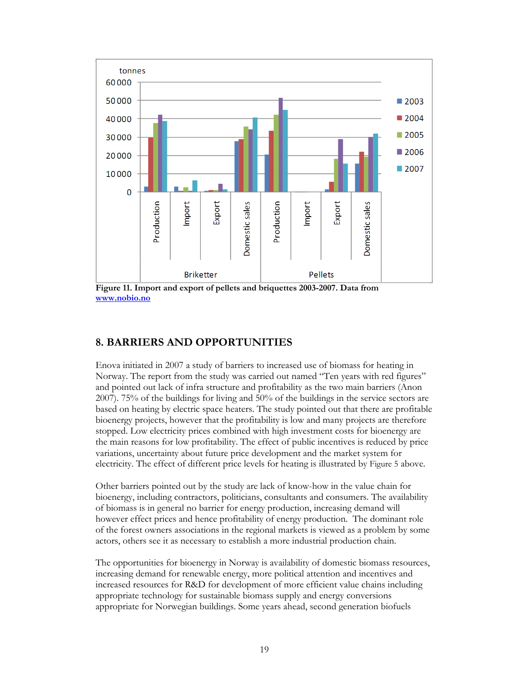

**Figure 11. Import and export of pellets and briquettes 2003-2007. Data from www.nobio.no**

## **8. BARRIERS AND OPPORTUNITIES**

Enova initiated in 2007 a study of barriers to increased use of biomass for heating in Norway. The report from the study was carried out named "Ten years with red figures" and pointed out lack of infra structure and profitability as the two main barriers (Anon 2007). 75% of the buildings for living and 50% of the buildings in the service sectors are based on heating by electric space heaters. The study pointed out that there are profitable bioenergy projects, however that the profitability is low and many projects are therefore stopped. Low electricity prices combined with high investment costs for bioenergy are the main reasons for low profitability. The effect of public incentives is reduced by price variations, uncertainty about future price development and the market system for electricity. The effect of different price levels for heating is illustrated by Figure 5 above.

Other barriers pointed out by the study are lack of know-how in the value chain for bioenergy, including contractors, politicians, consultants and consumers. The availability of biomass is in general no barrier for energy production, increasing demand will however effect prices and hence profitability of energy production. The dominant role of the forest owners associations in the regional markets is viewed as a problem by some actors, others see it as necessary to establish a more industrial production chain.

The opportunities for bioenergy in Norway is availability of domestic biomass resources, increasing demand for renewable energy, more political attention and incentives and increased resources for R&D for development of more efficient value chains including appropriate technology for sustainable biomass supply and energy conversions appropriate for Norwegian buildings. Some years ahead, second generation biofuels